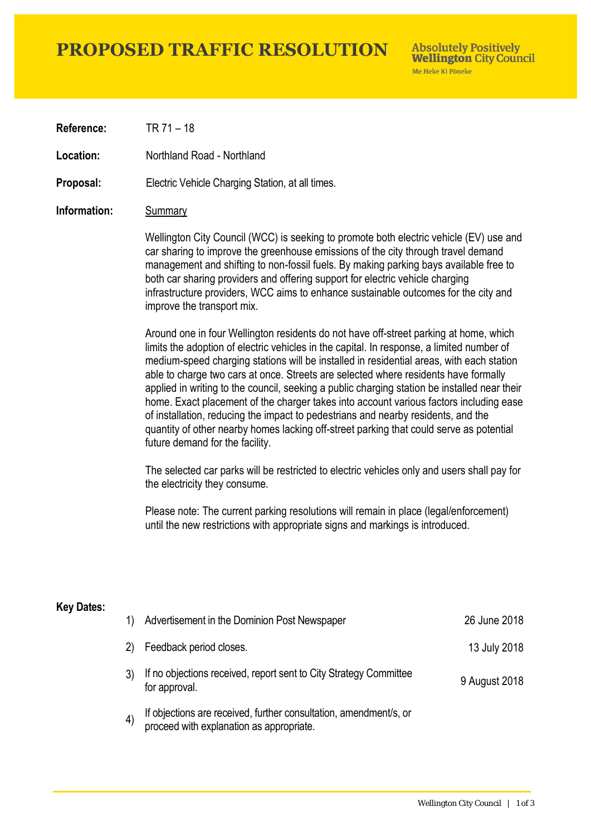# **PROPOSED TRAFFIC RESOLUTION**

**Absolutely Positively Wellington City Council** Me Heke Ki Pôneke

**Reference:** TR 71 – 18

**Location:** Northland Road - Northland

**Proposal:** Electric Vehicle Charging Station, at all times.

### **Information:** Summary

Wellington City Council (WCC) is seeking to promote both electric vehicle (EV) use and car sharing to improve the greenhouse emissions of the city through travel demand management and shifting to non-fossil fuels. By making parking bays available free to both car sharing providers and offering support for electric vehicle charging infrastructure providers, WCC aims to enhance sustainable outcomes for the city and improve the transport mix.

Around one in four Wellington residents do not have off-street parking at home, which limits the adoption of electric vehicles in the capital. In response, a limited number of medium-speed charging stations will be installed in residential areas, with each station able to charge two cars at once. Streets are selected where residents have formally applied in writing to the council, seeking a public charging station be installed near their home. Exact placement of the charger takes into account various factors including ease of installation, reducing the impact to pedestrians and nearby residents, and the quantity of other nearby homes lacking off-street parking that could serve as potential future demand for the facility.

The selected car parks will be restricted to electric vehicles only and users shall pay for the electricity they consume.

Please note: The current parking resolutions will remain in place (legal/enforcement) until the new restrictions with appropriate signs and markings is introduced.

#### **Key Dates:**

| 1)                | Advertisement in the Dominion Post Newspaper                                                                  | 26 June 2018  |
|-------------------|---------------------------------------------------------------------------------------------------------------|---------------|
| 2)                | Feedback period closes.                                                                                       | 13 July 2018  |
|                   | If no objections received, report sent to City Strategy Committee<br>for approval.                            | 9 August 2018 |
| $\left( 4\right)$ | If objections are received, further consultation, amendment/s, or<br>proceed with explanation as appropriate. |               |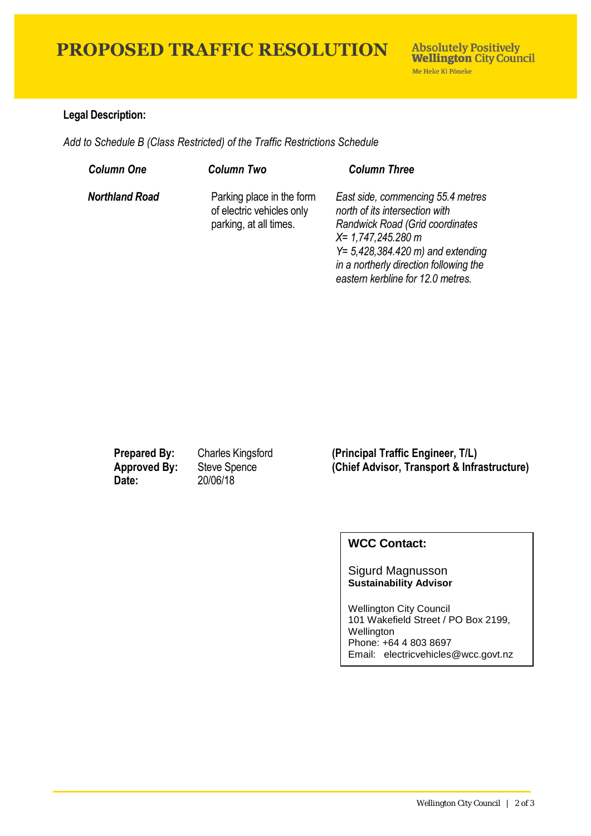# **PROPOSED TRAFFIC RESOLUTION**

## **Legal Description:**

*Add to Schedule B (Class Restricted) of the Traffic Restrictions Schedule* 

| <b>Column One</b>     | <b>Column Two</b>                                                                | <b>Column Three</b>                                                                                                                                                                                                                                            |
|-----------------------|----------------------------------------------------------------------------------|----------------------------------------------------------------------------------------------------------------------------------------------------------------------------------------------------------------------------------------------------------------|
| <b>Northland Road</b> | Parking place in the form<br>of electric vehicles only<br>parking, at all times. | East side, commencing 55.4 metres<br>north of its intersection with<br><b>Randwick Road (Grid coordinates)</b><br>$X = 1,747,245.280$ m<br>$Y = 5,428,384.420$ m) and extending<br>in a northerly direction following the<br>eastern kerbline for 12.0 metres. |

**Date:** 20/06/18

**Prepared By:** Charles Kingsford **(Principal Traffic Engineer, T/L) Approved By:** Steve Spence **(Chief Advisor, Transport & Infrastructure)**

## **WCC Contact:**

#### Sigurd Magnusson **Sustainability Advisor**

Wellington City Council 101 Wakefield Street / PO Box 2199, Wellington Phone: +64 4 803 8697 Email: electricvehicles@wcc.govt.nz